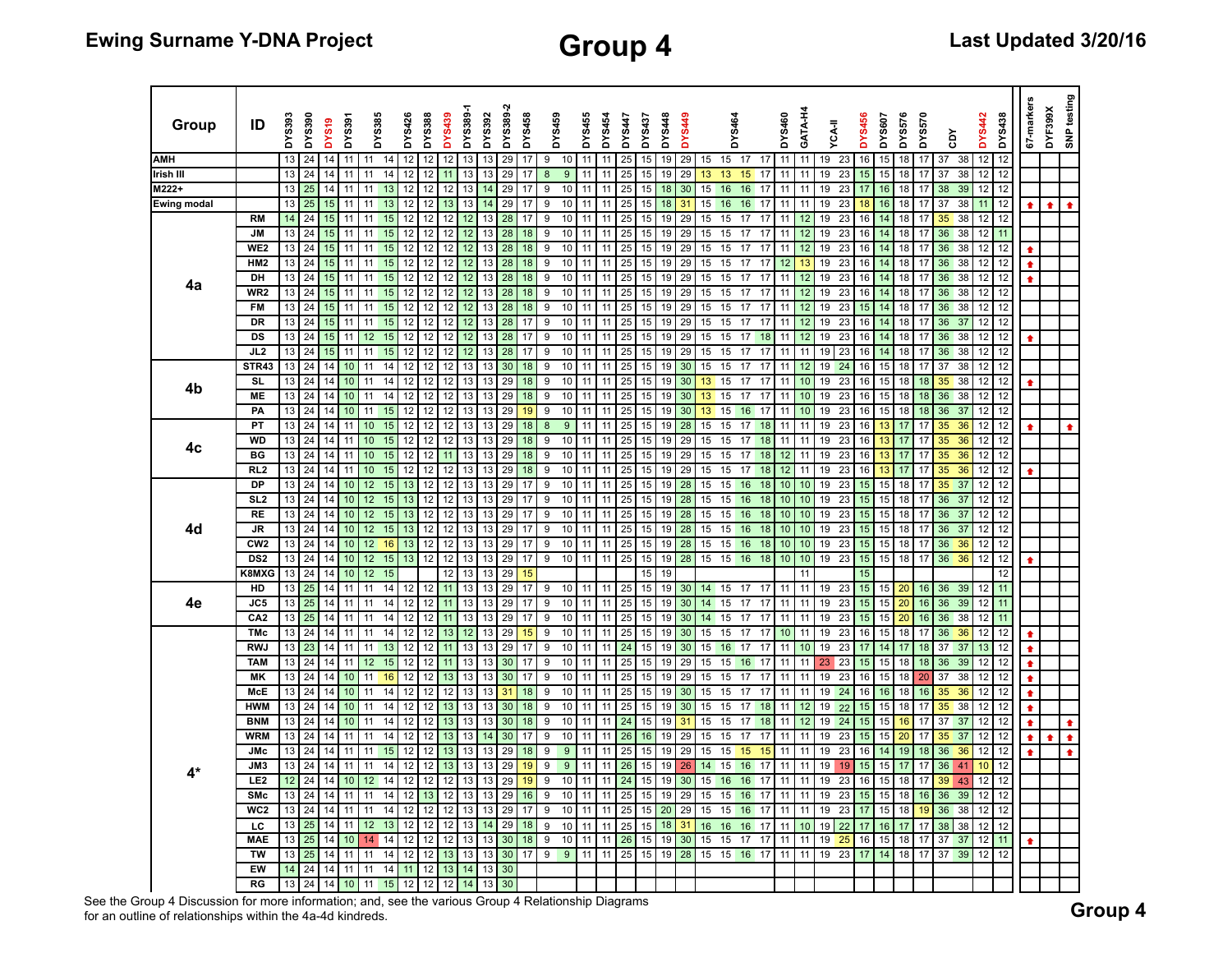| Group       | ID                           | <b>DYS393</b> | DYS390   | DYS <sub>19</sub> | <b>DYS391</b>   |                   | DYS385   | DYS426   | <b>DYS388</b> | <b>DYS439</b> | DYS389-1 | DYS392   | DYS389-2 | DYS458   | DYS459 |                  | DYS455   | <b>DYS454</b> | <b>DYS447</b> | <b>DYS437</b> | DYS448   | <b>DYS449</b>   |          | <b>DYS464</b>    |                    | DYS460   | GATA-H4  | <b>YCA-II</b> |          | <b>DYS456</b> | <b>DYS607</b> | DYS576   | DYS570   | ð              | <b>DYS442</b> | DYS438   | 67-markers | DYF399X | SNP testing     |
|-------------|------------------------------|---------------|----------|-------------------|-----------------|-------------------|----------|----------|---------------|---------------|----------|----------|----------|----------|--------|------------------|----------|---------------|---------------|---------------|----------|-----------------|----------|------------------|--------------------|----------|----------|---------------|----------|---------------|---------------|----------|----------|----------------|---------------|----------|------------|---------|-----------------|
| <b>AMH</b>  |                              | 13            | 24       | 14                | 11              | 11                | 14       | 12       | 12            | 12            | 13       | 13       | 29       | 17       | 9      | 10               | 11       | 11            | 25            | 15            | 19       | 29              | 15       | 15               | 17<br>17           | 11       | 11       | 19            | 23       | 16            | 15            | 18       | 17       | 37<br>38       | 12            | 12       |            |         |                 |
| Irish III   |                              | 13            | 24       | 14                | 11              | 11                | 14       | 12       | 12            |               | 13       | 13       | 29       |          | 8      | $\boldsymbol{9}$ | 11       | 11            | 25            | 15            | 19       | 29              | 13       | 13               | 15<br>17           | 11       |          | 19            | 23       | 15            | 15            | 18       |          | 37<br>38       | 12            | 12       |            |         |                 |
| M222+       |                              | 13            | 25       | 14                | 11              | 11                | 13       | 12       | 12            | 12            | 13       | 14       | 29       | 17       | 9      | 10               | 11       | 11            | 25            | 15            | 18       | 30              | 15       | 16               | 16<br>17           | 11       | 11       | 19            | 23       | 17            | 16            | 18       | 17       | 38<br>39       | 12            | 12       |            |         |                 |
| Ewing modal |                              | 13            | 25       | 15                | 11              | 11                | 13       | 12       | 12            | 13            | 13       | 14       | 29       | 17       | 9      | 10               | 11       | 11            | 25            | 15            | 18       | 31              | 15       | 16               | 16<br>17           | 11       | 11       | 19            | 23       | 18            | 16            | 18       | 17       | 37<br>38       | 11            | 12       | ٠          | ٠       |                 |
|             | <b>RM</b>                    | 14            | 24       | 15                | 11              | 11                | 15       | 12       | 12            | 12            | 12       | 13       | 28       | 17       | 9      | 10               | 11       | 11            | 25            | 15            | 19       | 29              | 15       | 15               | 17<br>17           | 11       | 12       | 19            | 23       | 16            | 14            | 18       | 17       | 35<br>38       | 12            | 12       |            |         |                 |
|             | <b>JM</b>                    | 13            | 24       | 15                | 11              | 11                | 15       | 12       | 12            | 12            | 12       | 13       | 28       | 18       | 9      | 10               | 11       | 11            | 25            | 15            | 19       | 29              | 15       | 15               | 17<br>17           | 11       | 12       | 19            | 23       | 16            | 14            | 18       | 17       | 36<br>38       | 12            | 11       |            |         |                 |
|             | WE2                          | 13            | 24       | 15                | 11              | 11                | 15       | 12       | 12            | 12            | 12       | 13       | 28       | 18       | 9      | 10               | 11       | 11            | 25            | 15            | 19       | 29              | 15       | 15               | 17<br>17           | 11       | 12       | 19            | 23       | 16            | 14            | 18       | 17       | 36<br>38       | 12            | 12       |            |         |                 |
|             | HM <sub>2</sub>              | 13            | 24       | 15                | 11              | 11                | 15       | 12       | 12            | 12            | 12       | 13       | 28       | 18       | 9      | 10               | 11       |               | 25            | 15            | 19       | 29              | 15       | 15               | 17<br>17           | 12       | 13       | 19            | 23       | 16            | 14            | 18       | 17       | 36<br>38       | 12            | 12       |            |         |                 |
| 4a          | DH                           | 13            | 24       | 15                | 11              | 11                | 15       | 12       | 12            | 12            | 12       | 13       | 28       | 18       | 9      | 10               | 11       | 11            | 25            | 15            | 19       | 29              | 15       | 15               | 17<br>17           | 11       | 12       | 19            | 23       | 16            | 14            | 18       | 17       | 36<br>38       | 12            | 12       | $\bullet$  |         |                 |
|             | WR <sub>2</sub>              | 13            | 24       | 15                | 11              | 11                | 15       | 12       | 12            | 12            | 12       | 13       | 28       | 18       | 9      | 10               | 11       |               | 25            | 15            | 19       | 29              | 15       | 15               | 17<br>17           |          | 12       | 19            | 23       | 16            | 14            | 18       | 17       | 36<br>38       | 12            | 12       |            |         |                 |
|             | <b>FM</b>                    | 13            | 24       | 15                | 11              | 11                | 15       | 12       | 12            | 12            | 12       | 13       | 28       | 18       | 9      | 10               | 11       | 11            | 25            | 15            | 19       | 29              | 15       | 15               | 17<br>17           | 11       | 12       | 19            | 23       | 15            | 14            | 18       | 17       | 36<br>38       | 12            | 12       |            |         |                 |
|             | <b>DR</b>                    | 13            | 24       | 15                | 11              | 11                | 15       | 12       | 12            | 12            | 12       | 13       | 28       | 17       | 9      | 10               | 11       | 11            | 25            | 15            | 19       | 29              | 15       | 15               | 17<br>17           | 11       | 12       | 19            | 23       | 16            | 14            | 18       | 17       | 36<br>37       | 12            | 12       |            |         |                 |
|             | DS                           | 13            | 24       | 15                | 11              | 12                | 15       | 12       | 12            | 12            | 12       | 13       | 28       | 17       | 9      | 10               | 11       | 11            | 25            | 15            | 19       | 29              | 15       | 15               | 17<br>18           | 11       | 12       | 19            | 23       | 16            | 14            | 18       | 17       | 36<br>38       | 12            | 12       |            |         |                 |
|             | JL <sub>2</sub>              | 13            | 24       | 15                | 11              | 11                | 15       | 12       | 12            | 12            | 12       | 13       | 28       | 17       | 9      | 10               | 11       | 11            | 25            | 15            | 19       | 29              | 15       | 15               | 17<br>17           | 11       | 11       | 19 23         |          | 16            | 14            | 18       | 17       | 36<br>38       | 12            | 12       |            |         |                 |
|             | STR43                        | 13            | 24       | 14                | 10              | 11                | 14       | 12       | 12            | 12            | 13       | 13       | 30       | 18       | 9      | 10               | 11       | 11            | 25            | 15            | 19       | 30              | 15       | 15               | 17<br>17           | 11       | 12       | 19            | 24       | 16            | 15            | 18       | 17       | 37<br>38       | 12            | 12       |            |         |                 |
| 4b          | SL                           | 13            | 24       | 14                | 10              | 11                | 14       | 12       | 12            | 12            | 13       | 13       | 29       | 18       | 9      | 10               | 11       | 11            | 25            | 15            | 19       | 30              | 13       | 15               | 17<br>17           | 11       | 10       | 19            | 23       | 16            | 15            | 18       | 18       | 35<br>38       | 12            | 12       |            |         |                 |
|             | <b>ME</b>                    | 13            | 24       | 14                | 10              | 11                | 14       | 12       | 12            | 12            | 13       | 13       | 29       | 18       | 9      | 10               | 11       | 11            | 25            | 15            | 19       | 30              | 13       | 15               | 17<br>17           | 11       | 10       | 19            | 23       | 16            | 15            | 18       | 18       | 36<br>38       | 12            | 12       |            |         |                 |
|             | PA                           | 13            | 24       | 14                | 10              | 11                | 15       | 12       | 12            | 12            | 13       | 13       | 29       | 19       | 9      | 10               | 11       | 11            | 25            | 15            | 19       | 30              | 13       | 15               | 16<br>17           | 11       | 10       | 19            | 23       | 16            | 15            | 18       | 18       | 36<br>37       | 12            | 12       |            |         |                 |
|             | PT                           | 13            | 24       | 14                | 11              | 10                | 15       | 12       | 12            | 12            | 13       | 13       | 29       | 18       | 8      | 9                | 11       | 11            | 25            | 15            | 19       | 28              | 15       | 15               | 17<br>18           | 11       | 11       | 19            | 23       | 16            | 13            | 17       | 17       | 35<br>36       | 12            | 12       |            |         |                 |
| 4c          | WD                           | 13            | 24       | 14                | 11              | 10                | 15       | 12       | 12            | 12            | 13       | 13       | 29       | 18       | 9      | 10               | 11       | 11            | 25            | 15            | 19       | 29              | 15       | 15               | 17<br>18           | 11       | 11       | 19            | 23       | 16            | 13            | 17       | 17       | 35<br>36       | 12            | 12       |            |         |                 |
|             | BG                           | 13            | 24       | 14                | 11              | 10 <sup>1</sup>   | 15       | 12       | 12            | 11            | 13       | 13       | 29       | 18       | 9      | 10               | 11       | 11            | 25            | 15            | 19       | 29              | 15       | 15               | 17<br>18           | 12       | 11       | 19            | 23       | 16            | 13            | 17       | 17       | 35<br>36       | 12            | 12       |            |         |                 |
|             | RL <sub>2</sub>              | 13            | 24       | 14                | 11              | 10                | 15       | 12       | 12            | 12            | 13       | 13       | 29       | 18       | 9      | $10$             | 11       | 11            | 25            | 15            | 19       | 29              | 15       | 15               | 17<br>18           | 12       | 11       | 19            | 23       | 16            | 13            | 17       | 17       | 35<br>36       | 12            | 12       |            |         |                 |
|             | DP                           | 13            | 24       | 14                | 10              | 12                | 15       | 13       | 12            | 12            | 13       | 13       | 29       | 17       | 9      | 10               | 11       | 11            | 25            | 15            | 19       | 28              | 15       | 15               | 16<br>18           | 10       | 10       | 19            | 23       | 15            | 15            | 18       | 17       | 35<br>37       | 12            | 12       |            |         |                 |
|             | SL <sub>2</sub><br><b>RE</b> | 13            | 24<br>24 | 14                | 10              | 12                | 15       | 13       | 12            | 12            | 13       | 13       | 29<br>29 | 17       | 9<br>9 | 10<br>10         | 11       | 11<br>11      | 25            | 15            | 19       | 28              | 15       | 15               | $16$<br>18         | 10       | 10       | 19            | 23       | 15            | 15            | 18       | 17       | 36<br>37<br>37 | 12            | 12<br>12 |            |         |                 |
| 4d          | JR                           | 13<br>13      | 24       | 14<br>14          | 10<br>10        | 12<br>12          | 15<br>15 | 13<br>13 | 12<br>12      | 12<br>12      | 13<br>13 | 13<br>13 | 29       | 17<br>17 | 9      | 10               | 11       |               | 25<br>25      | 15<br>15      | 19<br>19 | 28<br>28        | 15<br>15 | 15               | 16<br>18<br>18     | 10<br>10 | 10<br>10 | 19<br>19      | 23<br>23 | 15<br>15      | 15<br>15      | 18<br>18 | 17<br>17 | 36<br>36<br>37 | 12<br>12      | 12       |            |         |                 |
|             | CW <sub>2</sub>              | 13            | 24       | 14                | 10              | 12 <sup>2</sup>   | 16       | 13       | 12            | 12            | 13       | 13       | 29       | 17       | 9      | 10               | 11<br>11 | 11<br>11      | 25            | 15            | 19       | 28              | 15       | 15<br>15         | $16\,$<br>16<br>18 | 10       | 10       | 19            | 23       | 15            | 15            | 18       | 17       | 36<br>36       | 12            | 12       |            |         |                 |
|             | DS <sub>2</sub>              | 13            | 24       | 14                | 10              | $12 \overline{ }$ | 15       | 13       | 12            | 12            | 13       | 13       | 29       | 17       | 9      | $10$             | 11       | 11            | 25            | 15            | 19       | 28              | 15       | 15               | 16<br>18           | 10       | 10       | 19            | 23       | 15            | 15            | 18       | 17       | 36<br>36       | 12            | 12       |            |         |                 |
|             | K8MXG                        | 13            | 24       | 14                | 10              | 12                | 15       |          |               | 12            | 13       | 13       | 29       | 15       |        |                  |          |               |               | 15            | 19       |                 |          |                  |                    |          | 11       |               |          | 15            |               |          |          |                |               | 12       |            |         |                 |
|             | HD                           | 13            | 25       | 14                | 11              | 11                | 14       | 12       | 12            | 11            | 13       | 13       | 29       | 17       | 9      | 10               | 11       | 11            | 25            | 15            | 19       | 30 <sup>°</sup> | 14       | 15               | 17<br>17           | 11       | 11       | 19            | 23       | 15            | 15            | 20       | 16       | 36<br>39       | 12            | 11       |            |         |                 |
| 4e          | JC5                          | 13            | 25       | 14                | 11              | 11                | 14       | 12       | 12            | 11            | 13       | 13       | 29       | 17       | 9      | 10               | 11       | 11            | 25            | 15            | 19       | 30              | 14       | 15               | 17<br>17           | 11       | 11       | 19            | 23       | 15            | 15            | 20       | 16       | 36<br>39       | 12            | 11       |            |         |                 |
|             | CA <sub>2</sub>              | 13            | 25       | 14                | 11              | 11                | 14       | 12       | 12            | 11            | 13       | 13       | 29       | 17       | 9      | 10               | 11       | 11            | 25            | 15            | 19       | 30              | 14       | 15               | 17<br>17           | 11       | 11       | 19            | 23       | 15            | 15            | 20       | 16       | 36<br>38       | 12            | 11       |            |         |                 |
|             | <b>TMc</b>                   | 13            | 24       | 14                | 11              | 11                | 14       | 12       | 12            | 13            | 12       | 13       | 29       | 15       | 9      | 10               | 11       | 11            | 25            | 15            | 19       | 30              | 15       | 15               | 17<br>17           | 10       | 11       | 19            | 23       | 16            | 15            | 18       | 17       | 36<br>36       | 12            | 12       |            |         |                 |
|             | <b>RWJ</b>                   | 13            | 23       | 14                | 11              | 11                | 13       | 12       | 12            | 11            | 13       | 13       | 29       | 17       | 9      | $10$             | 11       | 11            | 24            | 15            | 19       | 30              | 15       | 16               | 17<br>17           | 11       | 10       | 19            | 23       | 17            | 14            | 17       | 18       | 37<br>37       | 13            | 12       |            |         |                 |
|             | TAM                          | 13            | 24       | 14                | 11              | 12                | 15       | 12       | 12            | 11            | 13       | 13       | 30       | 17       | 9      | 10               | 11       | 11            | 25            | 15            | 19       | 29              | 15       | 15               | 16<br>17           | 11       | 11       | 23            | 23       | 15            | 15            | 18       | 18       | 36<br>39       | 12            | 12       | ٠          |         |                 |
|             | <b>MK</b>                    | 13            | 24       | 14                | 10              | 11                | 16       | 12       | 12            | 13            | 13       | 13       | 30       | 17       | 9      | 10               | 11       | 11            | 25            | 15            | 19       | 29              | 15       | 15               | 17<br>17           | 11       | 11       | 19            | 23       | 16            | 15            | 18       | 20       | 37<br>38       | 12            | 12       | ٠          |         |                 |
|             | McE                          | 13            | 24       | 14                | 10              | 11                | 14       | 12       | 12            | 12            | 13       | 13       | 31       | 18       | 9      | 10               | 11       |               | 25            | 15            | 19       | 30              | 15       | 15               | 17<br>17           | 11       |          | 19            | 24       | 16            | 16            | 18       | 16       | 35<br>36       | 12            | 12       | $\bullet$  |         |                 |
|             | <b>HWM</b>                   | 13            | 24       | 14                | 10              | 11                | 14       | 12       | 12            | 13            | 13       | 13       | 30       | 18       | 9      | 10               | 11       | 11            | 25            | 15            | 19       | $30\,$          | 15       | 15               | 17<br>18           | 11       | 12       | 19            | 22       | 15            | 15            | 18       | 17       | 35<br>38       | 12            | 12       | ٠          |         |                 |
|             | <b>BNM</b>                   | 13            | 24       | 14                | 10              | 11                | 14       | 12       | 12            | 13            | 13       | 13       | 30       | 18       | 9      | 10               | 11       | 11            | 24            | 15            | 19       | 31              | 15       | 15               | 17<br>18           | 11       | 12       | 19            | 24       | 15            | 15            | 16       | 17       | 37<br>37       | 12            | 12       | ٠          |         |                 |
|             | WRM                          | 13            | 24       | 14                | 11              | 11                | 14       | 12       | 12            | 13            | 13       | 14       | 30       | 17       | 9      | 10               | 11       | 11            | 26            | 16            | 19       | 29              | 15       | 15               | 17<br>17           | 11       | 11       | 19            | 23       | 15            | 15            | 20       | 17       | 35<br>37       | 12            | 12       | ♦          |         | $\blacklozenge$ |
|             | JMc                          | 13            | 24       | 14                | 11              | 11                | 15       | 12       | 12            | 13            | 13       | 13       | 29       | 18       | 9      | $\boldsymbol{9}$ | 11       | 11            | 25            | 15            | 19       | 29              | 15       | 15               | 15<br>15           | 11       | 11       | 19            | 23       | 16            | 14            | 19       | 18       | 36<br>36       | 12            | 12       |            |         | ٠               |
| 4*          | JM3                          | 13            | 24       | 14                | 11              | 11                | 14       | 12       | 12            | 13            | 13       | 13       | 29       | 19       | 9      | 9                | 11       | 11            | 26            | 15            | 19       | 26              | 14       | 15 <sub>15</sub> | 16<br>17           | 11       | 11       | 19            | 19       | 15            | 15            | 17       | 17       | 36<br>41       | 10            | 12       |            |         |                 |
|             | LE <sub>2</sub>              | 12            | 24       | 14                | 10              | 12                | 14       | 12       | 12            | 12            | 13       | 13       | 29       | 19       | 9      | 10               | 11       | 11            | 24            | 15            | 19       | 30              | 15       | 16               | $16\,$<br>17       | 11       | 11       | 19            | 23       | 16            | 15            | 18       | 17       | 39<br>43       | 12            | 12       |            |         |                 |
|             | <b>SMc</b>                   | 13            | 24       | 14                | 11              | 11                | 14       | 12       | 13            | 12            | 13       | 13       | 29       | 16       | 9      | 10               | 11       | 11            | 25            | 15            | 19       | 29              | 15       | 15               | 16<br>17           | 11       | 11       | 19            | 23       | 15            | 15            | 18       | 16       | 36<br>39       | 12            | 12       |            |         |                 |
|             | WC <sub>2</sub>              | 13            | 24       | 14                | 11              | 11                | 14       | 12       | 12            | 12            | 13       | 13       | 29       | 17       | 9      | 10               | 11       | 11            | 25            | 15            | 20       | 29              | 15       | 15               | 16<br>17           | 11       | 11       | 19            | 23       | 17            | 15            | 18       | 19       | 36<br>38       | 12            | 12       |            |         |                 |
|             | LC                           | 13            | 25       | 14                | 11              | 12                | 13       | 12       | 12            | 12            | 13       | 14       | 29       | 18       | 9      | 10               | 11       | 11            | 25            | 15            | 18       | 31              | 16       | 16               | 16<br>17           | 11       | 10       | 19            | 22       | 17            | 16            | 17       | 17       | 38<br>38       | 12            | 12       |            |         |                 |
|             | <b>MAE</b>                   | 13            | 25       | 14                | 10              | 14                | 14       | 12       | 12            | 12            | 13       | 13       | 30       | 18       | 9      | $10$             | 11       | 11            | 26            | 15            | 19       | 30              | 15       | 15               | 17<br>17           | 11       | 11       | 19            | 25       | 16            | 15            | 18       | 17       | 37<br>37       | 12            | 11       |            |         |                 |
|             | <b>TW</b>                    | 13            | 25       | 14                | 11              | 11                | 14       | 12       | 12            | 13            | 13       | 13       | 30       | 17       | 9      | $\mathsf g$      | 11       | 11            | 25            | 15            | 19       | 28              | 15       | 15               | 16<br>17           | 11       | 11       | 19            | 23       | 17            | 14            | 18       | 17       | 37<br>39       | 12            | 12       |            |         |                 |
|             | EW                           | 14            | 24       | 14                | 11              | 11                | 14       | 11       | 12            | 13            | 14       | 13       | 30       |          |        |                  |          |               |               |               |          |                 |          |                  |                    |          |          |               |          |               |               |          |          |                |               |          |            |         |                 |
|             | <b>RG</b>                    |               | 13 24    | 14                | 10 <sup>1</sup> | 11                | 15       | 12       | 12            | 12            | 14       | 13       | 30       |          |        |                  |          |               |               |               |          |                 |          |                  |                    |          |          |               |          |               |               |          |          |                |               |          |            |         |                 |

See the Group 4 Discussion for more information; and, see the various Group 4 Relationship Diagrams See the Group 4 Discussion for more information; and, see the various Group 4 Relationship Diagrams<br>for an outline of relationships within the 4a-4d kindreds.